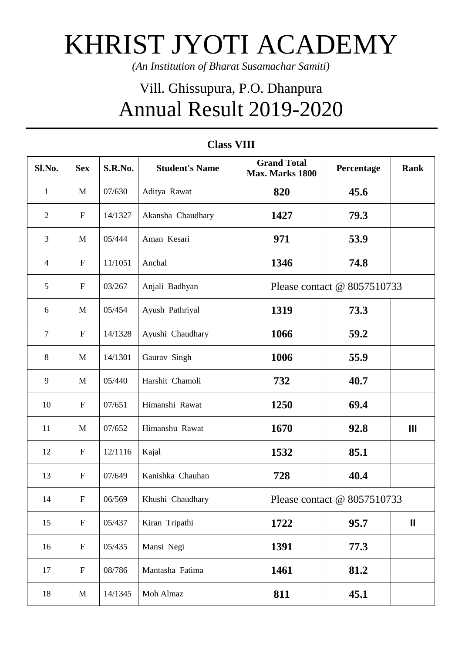## KHRIST JYOTI ACADEMY

*(An Institution of Bharat Susamachar Samiti)*

## Vill. Ghissupura, P.O. Dhanpura Annual Result 2019-2020

| Sl.No.         | <b>Sex</b>       | S.R.No. | <b>Student's Name</b> | <b>Grand Total</b><br>Max. Marks 1800 | Percentage | <b>Rank</b>    |
|----------------|------------------|---------|-----------------------|---------------------------------------|------------|----------------|
| $\mathbf{1}$   | M                | 07/630  | Aditya Rawat          | 820                                   | 45.6       |                |
| $\overline{2}$ | ${\bf F}$        | 14/1327 | Akansha Chaudhary     | 1427                                  | 79.3       |                |
| 3              | M                | 05/444  | Aman Kesari           | 971                                   | 53.9       |                |
| 4              | $\mathbf F$      | 11/1051 | Anchal                | 1346                                  | 74.8       |                |
| 5              | $\mathbf F$      | 03/267  | Anjali Badhyan        | Please contact @ 8057510733           |            |                |
| 6              | M                | 05/454  | Ayush Pathriyal       | 1319                                  | 73.3       |                |
| $\overline{7}$ | $\mathbf F$      | 14/1328 | Ayushi Chaudhary      | 1066                                  | 59.2       |                |
| 8              | M                | 14/1301 | Gaurav Singh          | 1006                                  | 55.9       |                |
| 9              | $\mathbf{M}$     | 05/440  | Harshit Chamoli       | 732                                   | 40.7       |                |
| 10             | $\mathbf F$      | 07/651  | Himanshi Rawat        | 1250                                  | 69.4       |                |
| 11             | M                | 07/652  | Himanshu Rawat        | 1670                                  | 92.8       | $\mathbf{III}$ |
| 12             | ${\bf F}$        | 12/1116 | Kajal                 | 1532                                  | 85.1       |                |
| 13             | ${\bf F}$        | 07/649  | Kanishka Chauhan      | 728                                   | 40.4       |                |
| 14             | $\boldsymbol{F}$ | 06/569  | Khushi Chaudhary      | Please contact @ 8057510733           |            |                |
| 15             | $\mathbf F$      | 05/437  | Kiran Tripathi        | 1722                                  | 95.7       | $\mathbf{I}$   |
| 16             | $\mathbf F$      | 05/435  | Mansi Negi            | 1391                                  | 77.3       |                |
| 17             | $\mathbf F$      | 08/786  | Mantasha Fatima       | 1461                                  | 81.2       |                |
| 18             | M                | 14/1345 | Moh Almaz             | 811                                   | 45.1       |                |

## **Class VIII**